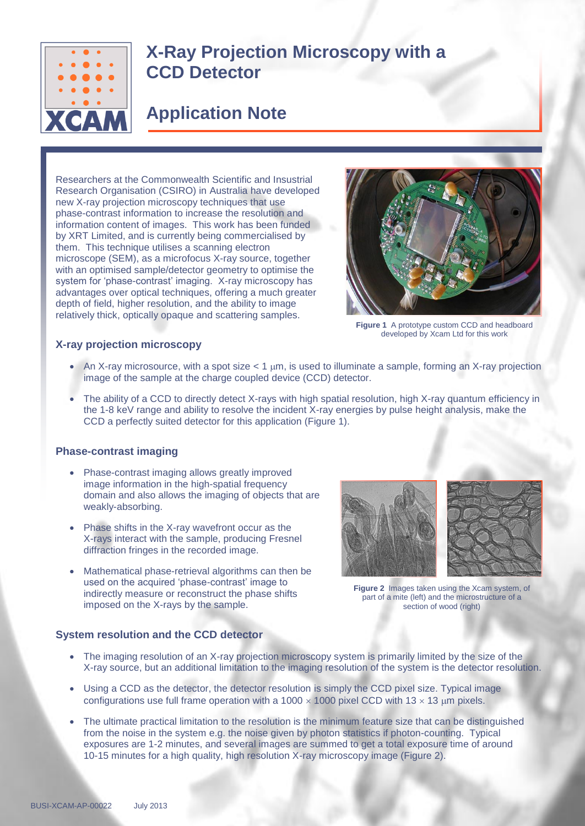

# **X-Ray Projection Microscopy with a CCD Detector**

# **Application Note**

Researchers at the Commonwealth Scientific and Insustrial Research Organisation (CSIRO) in Australia have developed new X-ray projection microscopy techniques that use phase-contrast information to increase the resolution and information content of images. This work has been funded by XRT Limited, and is currently being commercialised by them. This technique utilises a scanning electron microscope (SEM), as a microfocus X-ray source, together with an optimised sample/detector geometry to optimise the system for 'phase-contrast' imaging. X-ray microscopy has advantages over optical techniques, offering a much greater depth of field, higher resolution, and the ability to image relatively thick, optically opaque and scattering samples.



**Figure 1** A prototype custom CCD and headboard developed by Xcam Ltd for this work

#### **X-ray projection microscopy**

- An X-ray microsource, with a spot size  $< 1 \mu m$ , is used to illuminate a sample, forming an X-ray projection image of the sample at the charge coupled device (CCD) detector.
- The ability of a CCD to directly detect X-rays with high spatial resolution, high X-ray quantum efficiency in the 1-8 keV range and ability to resolve the incident X-ray energies by pulse height analysis, make the CCD a perfectly suited detector for this application (Figure 1).

## **Phase-contrast imaging**

- Phase-contrast imaging allows greatly improved image information in the high-spatial frequency domain and also allows the imaging of objects that are weakly-absorbing.
- Phase shifts in the X-ray wavefront occur as the X-rays interact with the sample, producing Fresnel diffraction fringes in the recorded image.
- Mathematical phase-retrieval algorithms can then be used on the acquired 'phase-contrast' image to indirectly measure or reconstruct the phase shifts imposed on the X-rays by the sample.



**Figure 2** Images taken using the Xcam system, of part of a mite (left) and the microstructure of a section of wood (right)

#### **System resolution and the CCD detector**

- The imaging resolution of an X-ray projection microscopy system is primarily limited by the size of the X-ray source, but an additional limitation to the imaging resolution of the system is the detector resolution.
- Using a CCD as the detector, the detector resolution is simply the CCD pixel size. Typical image configurations use full frame operation with a 1000  $\times$  1000 pixel CCD with 13  $\times$  13  $\mu$ m pixels.
- The ultimate practical limitation to the resolution is the minimum feature size that can be distinguished from the noise in the system e.g. the noise given by photon statistics if photon-counting. Typical exposures are 1-2 minutes, and several images are summed to get a total exposure time of around 10-15 minutes for a high quality, high resolution X-ray microscopy image (Figure 2).